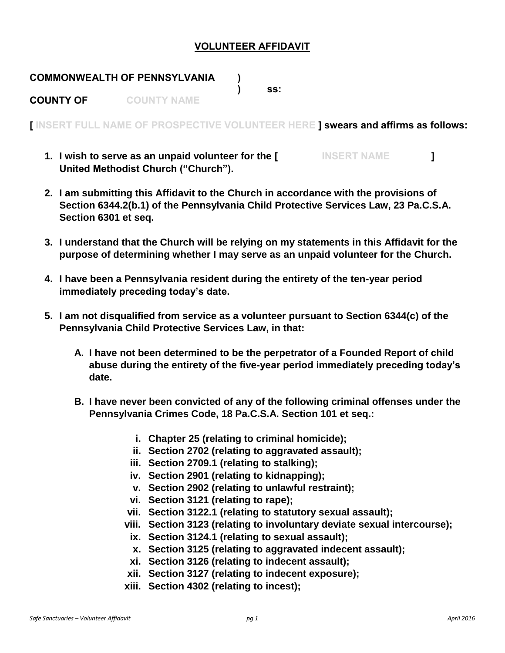## **VOLUNTEER AFFIDAVIT**

## **COMMONWEALTH OF PENNSYLVANIA ) ) ss: COUNTY OF COUNTY NAME**

**[ INSERT FULL NAME OF PROSPECTIVE VOLUNTEER HERE ] swears and affirms as follows:**

- **1. I wish to serve as an unpaid volunteer for the [ INSERT NAME ] United Methodist Church ("Church").**
- **2. I am submitting this Affidavit to the Church in accordance with the provisions of Section 6344.2(b.1) of the Pennsylvania Child Protective Services Law, 23 Pa.C.S.A. Section 6301 et seq.**
- **3. I understand that the Church will be relying on my statements in this Affidavit for the purpose of determining whether I may serve as an unpaid volunteer for the Church.**
- **4. I have been a Pennsylvania resident during the entirety of the ten-year period immediately preceding today's date.**
- **5. I am not disqualified from service as a volunteer pursuant to Section 6344(c) of the Pennsylvania Child Protective Services Law, in that:**
	- **A. I have not been determined to be the perpetrator of a Founded Report of child abuse during the entirety of the five-year period immediately preceding today's date.**
	- **B. I have never been convicted of any of the following criminal offenses under the Pennsylvania Crimes Code, 18 Pa.C.S.A. Section 101 et seq.:**
		- **i. Chapter 25 (relating to criminal homicide);**
		- **ii. Section 2702 (relating to aggravated assault);**
		- **iii. Section 2709.1 (relating to stalking);**
		- **iv. Section 2901 (relating to kidnapping);**
		- **v. Section 2902 (relating to unlawful restraint);**
		- **vi. Section 3121 (relating to rape);**
		- **vii. Section 3122.1 (relating to statutory sexual assault);**
		- **viii. Section 3123 (relating to involuntary deviate sexual intercourse);**
			- **ix. Section 3124.1 (relating to sexual assault);**
			- **x. Section 3125 (relating to aggravated indecent assault);**
			- **xi. Section 3126 (relating to indecent assault);**
		- **xii. Section 3127 (relating to indecent exposure);**
		- **xiii. Section 4302 (relating to incest);**